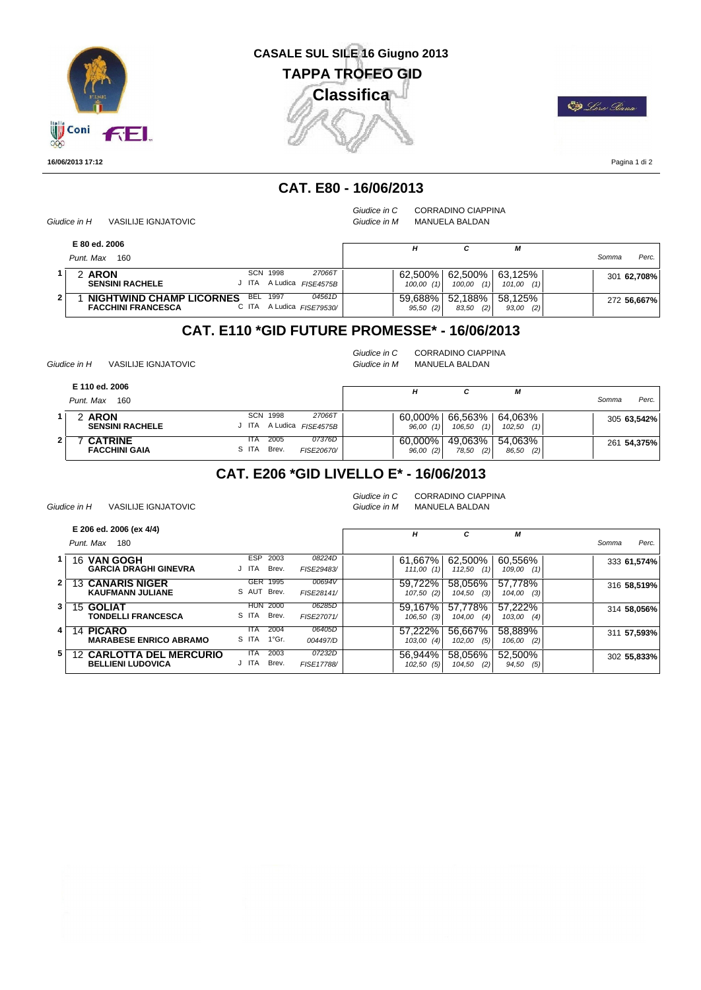

# **CASALE SUL SILE 16 Giugno 2013 Classifica TAPPA TROFEO GID**



Pagina 1 di 2

### **CAT. E80 - 16/06/2013**

*Giudice in H* VASILIJE IGNJATOVIC

*Giudice in C* CORRADINO CIAPPINA

*Giudice in M* MANUELA BALDAN

| E 80 ed. 2006<br>Punt, Max<br>160                                                                        |                            |                        |                          | М                        | Somma | Perc.       |
|----------------------------------------------------------------------------------------------------------|----------------------------|------------------------|--------------------------|--------------------------|-------|-------------|
| SCN<br>1998<br>2 ARON<br><b>SENSINI RACHELE</b><br>J ITA A Ludica                                        | 27066T<br><i>FISE4575B</i> | 62.500%<br>100,00(1)   | 62.500%<br>(1)<br>100.00 | 63.125%<br>101,00<br>(1) |       | 301 62,708% |
| 1997<br>BEL<br><b>NIGHTWIND CHAMP LICORNES</b><br>C ITA A Ludica FISE79530/<br><b>FACCHINI FRANCESCA</b> | 04561D                     | 59.688%<br>$95,50$ (2) | 52.188%<br>(2)<br>83,50  | 58.125%<br>93,00<br>(2)  |       | 272 56,667% |

#### **CAT. E110 \*GID FUTURE PROMESSE\* - 16/06/2013**

*Giudice in H* VASILIJE IGNJATOVIC

*Giudice in C* CORRADINO CIAPPINA *Giudice in M* MANUELA BALDAN

|   | E 110 ed. 2006<br>Punt. Max<br>160     |               |               |                              | н                      | с                        | M                        | Somma       | Perc. |
|---|----------------------------------------|---------------|---------------|------------------------------|------------------------|--------------------------|--------------------------|-------------|-------|
|   | 2 ARON<br><b>SENSINI RACHELE</b>       | J ITA         | SCN 1998      | 27066T<br>A Ludica FISE4575B | $60.000\%$<br>96,00(1) | 66.563%<br>(1)<br>106,50 | 64.063%<br>102,50<br>(1) | 305 63,542% |       |
| 2 | <b>CATRINE</b><br><b>FACCHINI GAIA</b> | ITA.<br>S ITA | 2005<br>Brev. | 07376D<br>FISE20670/         | $60,000\%$<br>96,00(2) | 49.063%<br>(2)<br>78,50  | 54.063%<br>86,50<br>(2)  | 261 54,375% |       |

### **CAT. E206 \*GID LIVELLO E\* - 16/06/2013**

*Giudice in H* VASILIJE IGNJATOVIC

*Giudice in C* CORRADINO CIAPPINA *Giudice in M* MANUELA BALDAN

|                | E 206 ed. 2006 (ex 4/4)                                     |                                         |                      | н                       | c                        | М                        |                |
|----------------|-------------------------------------------------------------|-----------------------------------------|----------------------|-------------------------|--------------------------|--------------------------|----------------|
|                | Punt, Max<br>180                                            |                                         |                      |                         |                          |                          | Perc.<br>Somma |
|                | 16 VAN GOGH<br><b>GARCIA DRAGHI GINEVRA</b>                 | <b>ESP</b><br>2003<br>Brev.<br>J ITA    | 08224D<br>FISE29483/ | 61.667%<br>111,00(1)    | 62,500%<br>112,50<br>(1) | 60,556%<br>109,00<br>(1) | 333 61,574%    |
| 2 <sup>1</sup> | <b>13 CANARIS NIGER</b><br><b>KAUFMANN JULIANE</b>          | <b>GER</b><br>1995<br>S AUT Brev.       | 00694V<br>FISE28141/ | 59.722%<br>$107,50$ (2) | 58,056%<br>(3)<br>104,50 | 57,778%<br>(3)<br>104,00 | 316 58,519%    |
| 3.             | <b>15 GOLIAT</b><br><b>TONDELLI FRANCESCA</b>               | <b>HUN 2000</b><br>S ITA<br>Brev.       | 06285D<br>FISE27071/ | 59.167%<br>$106,50$ (3) | 57,778%<br>(4)<br>104,00 | 57.222%<br>103,00<br>(4) | 314 58,056%    |
| 4              | <b>14 PICARO</b><br><b>MARABESE ENRICO ABRAMO</b>           | 2004<br>ITA<br>$1^{\circ}$ Gr.<br>S ITA | 06405D<br>004497/D   | 57.222%<br>$103,00$ (4) | 56.667%<br>(5)<br>102,00 | 58,889%<br>106,00<br>(2) | 311 57,593%    |
| 5.             | <b>12 CARLOTTA DEL MERCURIO</b><br><b>BELLIENI LUDOVICA</b> | 2003<br>ITA<br>Brev.<br>J ITA           | 07232D<br>FISE17788/ | 56.944%<br>102,50(5)    | 58.056%<br>(2)<br>104,50 | 52.500%<br>(5)<br>94,50  | 302 55,833%    |